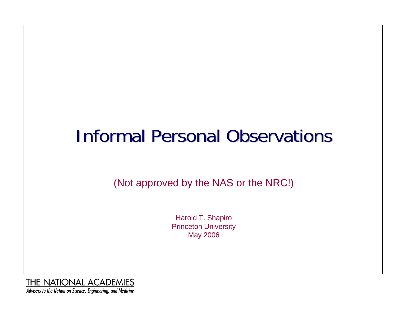# **Informal Personal Observations**

(Not approved by the NAS or the NRC!)

Harold T. Shapiro Princeton University May 2006

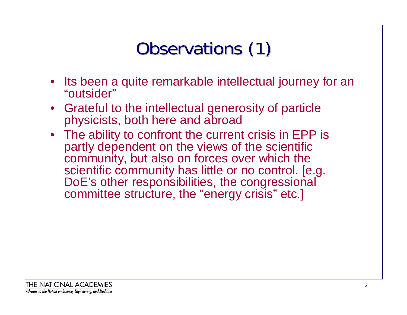# Observations (1)

- Its been a quite remarkable intellectual journey for an "outsider"
- Grateful to the intellectual generosity of particle physicists, both here and abroad
- The ability to confront the current crisis in EPP is partly dependent on the views of the scientific community, but also on forces over which the scientific community has little or no control. [e.g. DoE's other responsibilities, the congressional committee structure, the "energy crisis" etc.]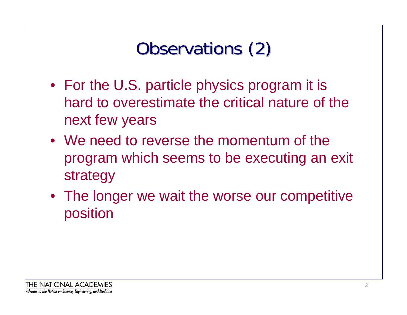# Observations (2)

- For the U.S. particle physics program it is hard to overestimate the critical nature of the next few years
- We need to reverse the momentum of the program which seems to be executing an exit strategy
- The longer we wait the worse our competitive position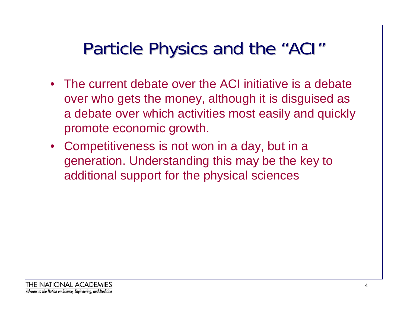#### Particle Physics and the "ACI "

- The current debate over the ACI initiative is a debate over who gets the money, although it is disguised as a debate over which activities most easily and quickly promote economic growth.
- Competitiveness is not won in a day, but in a generation. Understanding this may be the key to additional support for the physical sciences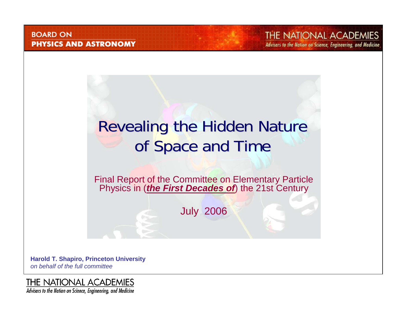#### **BOARD ON PHYSICS AND ASTRONOMY**

THE NATIONAL ACADEMIES Advisers to the Nation on Science, Engineering, and Medicine

### Revealing the Hidden Nature of Space and Time

Final Report of the Committee on Elementary Particle Physics in (*the First Decades of*) the 21st Century

July 2006

**Harold T. Shapiro, Princeton University** *on behalf of the full committee*

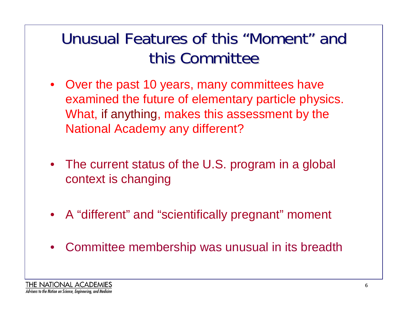### Unusual Features of this "Moment" and this Committee

- Over the past 10 years, many committees have examined the future of elementary particle physics. What, if anything, makes this assessment by the National Academy any different?
- The current status of the U.S. program in a global context is changing
- A "different" and "scientifically pregnant" moment
- $\bullet$ Committee membership was unusual in its breadth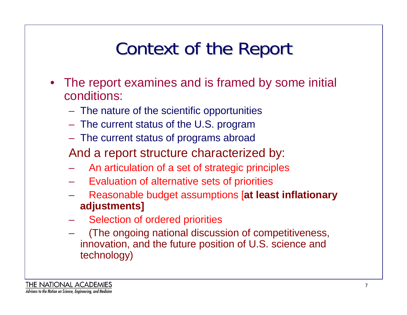# Context of the Report

- The report examines and is framed by some initial conditions:
	- The nature of the scientific opportunities
	- The current status of the U.S. program
	- The current status of programs abroad
	- And a report structure characterized by:
	- An articulation of a set of strategic principles
	- Evaluation of alternative sets of priorities
	- Reasonable budget assumptions [**at least inflationary adjustments]**
	- Selection of ordered priorities
	- (The ongoing national discussion of competitiveness, innovation, and the future position of U.S. science and technology)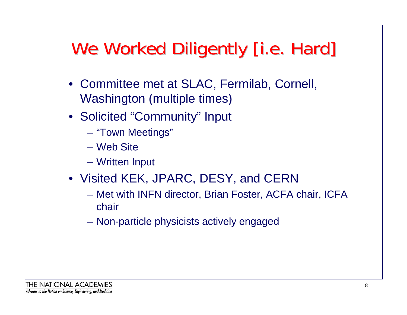# We Worked Diligently [i.e. Hard]

- Committee met at SLAC, Fermilab, Cornell, Washington (multiple times)
- Solicited "Community" Input
	- "Town Meetings"
	- Web Site
	- Written Input
- Visited KEK, JPARC, DESY, and CERN
	- Met with INFN director, Brian Foster, ACFA chair, ICFA chair
	- Non-particle physicists actively engaged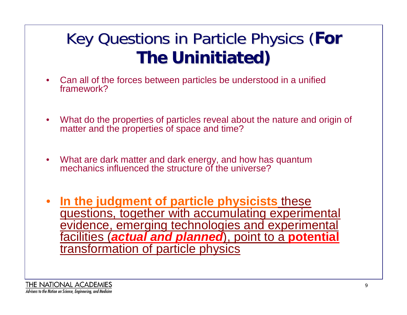### Key Questions in Particle Physics ( Key Questions in Particle Physics (**For The Uninitiated) The Uninitiated)**

- $\bullet$  Can all of the forces between particles be understood in a unified framework?
- $\bullet$  What do the properties of particles reveal about the nature and origin of matter and the properties of space and time?
- $\bullet$  What are dark matter and dark energy, and how has quantum mechanics influenced the structure of the universe?
- • **In the judgment of particle physicists** these questions, together with accumulating experimental evidence, emerging technologies and experimental facilities (*actual and planned*), point to a **potential** transformation of particle physics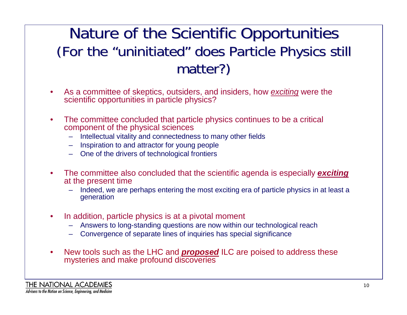#### Nature of the Scientific Opportunities (For the "uninitiated " does Particle Physics still matter?)

- $\bullet$  As a committee of skeptics, outsiders, and insiders, how *exciting* were the scientific opportunities in particle physics?
- $\bullet$  The committee concluded that particle physics continues to be a critical component of the physical sciences
	- Intellectual vitality and connectedness to many other fields
	- Inspiration to and attractor for young people
	- One of the drivers of technological frontiers
- • The committee also concluded that the scientific agenda is especially *exciting* at the present time
	- Indeed, we are perhaps entering the most exciting era of particle physics in at least a generation
- $\bullet$  In addition, particle physics is at a pivotal moment
	- Answers to long-standing questions are now within our technological reach
	- Convergence of separate lines of inquiries has special significance
- $\bullet$  New tools such as the LHC and *proposed* ILC are poised to address these mysteries and make profound discoveries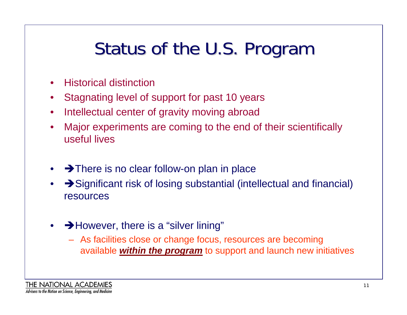# Status of the U.S. Program

- •Historical distinction
- •Stagnating level of support for past 10 years
- $\bullet$ Intellectual center of gravity moving abroad
- • Major experiments are coming to the end of their scientifically useful lives
- $\rightarrow$  There is no clear follow-on plan in place
- • $\rightarrow$  Significant risk of losing substantial (intellectual and financial) resources
- • $\rightarrow$  However, there is a "silver lining"
	- As facilities close or change focus, resources are becoming available *within the program* to support and launch new initiatives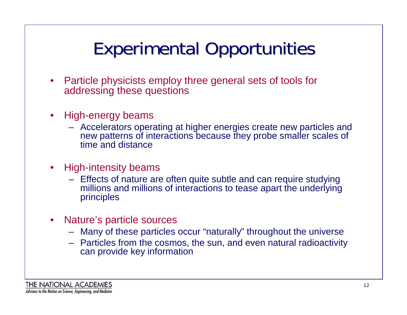# Experimental Opportunities Experimental Opportunities

- • Particle physicists employ three general sets of tools for addressing these questions
- • High-energy beams
	- Accelerators operating at higher energies create new particles and new patterns of interactions because they probe smaller scales of time and distance
- $\bullet$  High-intensity beams
	- Effects of nature are often quite subtle and can require studying millions and millions of interactions to tease apart the underlying principles
- $\bullet$  Nature's particle sources
	- Many of these particles occur "naturally" throughout the universe
	- Particles from the cosmos, the sun, and even natural radioactivity can provide key information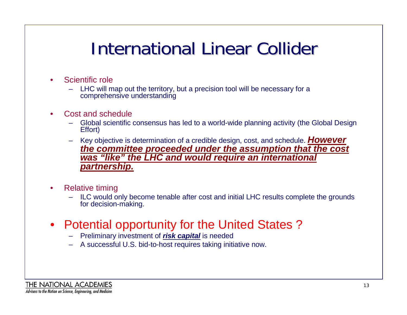### **International Linear Collider**

- • Scientific role
	- – LHC will map out the territory, but a precision tool will be necessary for a comprehensive understanding
- • Cost and schedule
	- –Global scientific consensus has led to a world-wide planning activity (the Global Design Effort)
	- – Key objective is determination of a credible design, cost, and schedule. *However the committee proceeded under the assumption that the cost was "like" the LHC and would require an international partnership.*
- $\bullet$  Relative timing
	- ILC would only become tenable after cost and initial LHC results complete the grounds for decision-making.
- • Potential opportunity for the United States ?
	- Preliminary investment of *risk capital* is needed
	- A successful U.S. bid-to-host requires taking initiative now.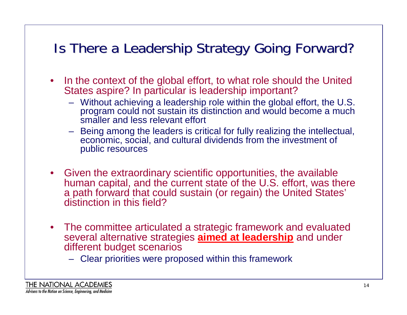### Is There a Leadership Strategy Going Forward?

- In the context of the global effort, to what role should the United States aspire? In particular is leadership important?
	- Without achieving a leadership role within the global effort, the U.S. program could not sustain its distinction and would become a much smaller and less relevant effort
	- – Being among the leaders is critical for fully realizing the intellectual, economic, social, and cultural dividends from the investment of public resources
- Given the extraordinary scientific opportunities, the available human capital, and the current state of the U.S. effort, was there a path forward that could sustain (or regain) the United States' distinction in this field?
- The committee articulated a strategic framework and evaluated several alternative strategies **aimed at leadership** and under different budget scenarios
	- Clear priorities were proposed within this framework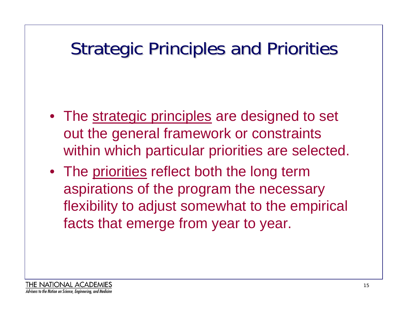### **Strategic Principles and Priorities**

- The strategic principles are designed to set out the general framework or constraints within which particular priorities are selected.
- The priorities reflect both the long term aspirations of the program the necessary flexibility to adjust somewhat to the empirical facts that emerge from year to year.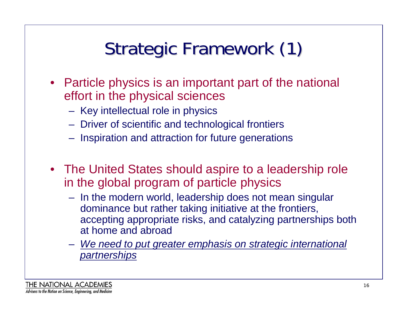# Strategic Framework (1)

- Particle physics is an important part of the national effort in the physical sciences
	- Key intellectual role in physics
	- Driver of scientific and technological frontiers
	- Inspiration and attraction for future generations
- The United States should aspire to a leadership role in the global program of particle physics
	- In the modern world, leadership does not mean singular dominance but rather taking initiative at the frontiers, accepting appropriate risks, and catalyzing partnerships both at home and abroad
	- *We need to put greater emphasis on strategic international partnerships*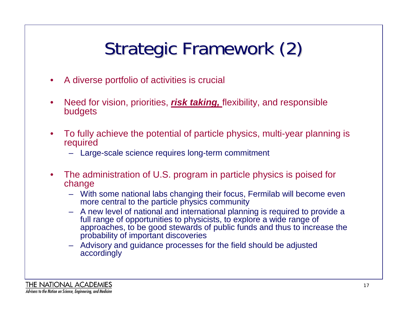# Strategic Framework (2)

- $\bullet$ A diverse portfolio of activities is crucial
- $\bullet$  Need for vision, priorities, *risk taking,* flexibility, and responsible budgets
- $\bullet$  To fully achieve the potential of particle physics, multi-year planning is required
	- Large-scale science requires long-term commitment
- $\bullet$  The administration of U.S. program in particle physics is poised for change
	- With some national labs changing their focus, Fermilab will become even more central to the particle physics community
	- A new level of national and international planning is required to provide a full range of opportunities to physicists, to explore a wide range of approaches, to be good stewards of public funds and thus to increase the probability of important discoveries
	- Advisory and guidance processes for the field should be adjusted accordingly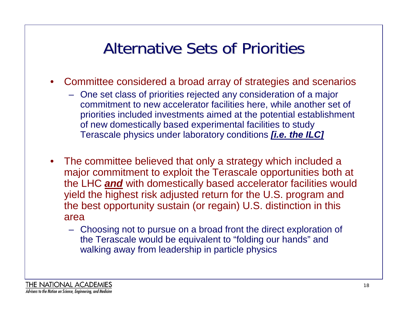### Alternative Sets of Priorities

- Committee considered a broad array of strategies and scenarios
	- One set class of priorities rejected any consideration of a major commitment to new accelerator facilities here, while another set of priorities included investments aimed at the potential establishment of new domestically based experimental facilities to study Terascale physics under laboratory conditions *[i.e. the ILC]*
- The committee believed that only a strategy which included a major commitment to exploit the Terascale opportunities both at the LHC *and* with domestically based accelerator facilities would yield the highest risk adjusted return for the U.S. program and the best opportunity sustain (or regain) U.S. distinction in this area
	- Choosing not to pursue on a broad front the direct exploration of the Terascale would be equivalent to "folding our hands" and walking away from leadership in particle physics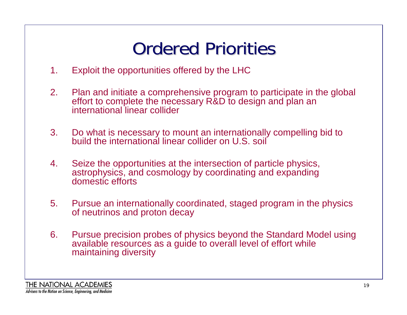# **Ordered Priorities**

- 1. Exploit the opportunities offered by the LHC
- 2. Plan and initiate a comprehensive program to participate in the global effort to complete the necessary R&D to design and plan an international linear collider
- 3. Do what is necessary to mount an internationally compelling bid to build the international linear collider on U.S. soil
- 4. Seize the opportunities at the intersection of particle physics, astrophysics, and cosmology by coordinating and expanding domestic efforts
- 5. Pursue an internationally coordinated, staged program in the physics of neutrinos and proton decay
- 6. Pursue precision probes of physics beyond the Standard Model using available resources as a guide to overall level of effort while maintaining diversity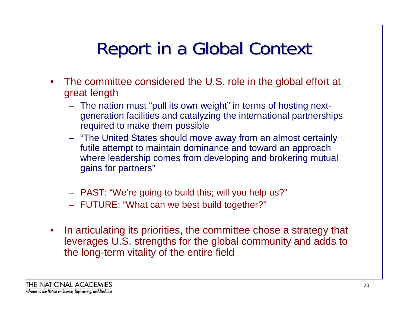## Report in a Global Context

- • The committee considered the U.S. role in the global effort at great length
	- The nation must "pull its own weight" in terms of hosting nextgeneration facilities and catalyzing the international partnerships required to make them possible
	- "The United States should move away from an almost certainly futile attempt to maintain dominance and toward an approach where leadership comes from developing and brokering mutual gains for partners"
	- PAST: "We're going to build this; will you help us?"
	- FUTURE: "What can we best build together?"
- $\bullet$  In articulating its priorities, the committee chose a strategy that leverages U.S. strengths for the global community and adds to the long-term vitality of the entire field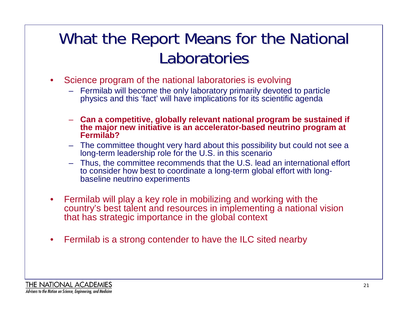### What the Report Means for the National Laboratories

- $\bullet$  Science program of the national laboratories is evolving
	- Fermilab will become the only laboratory primarily devoted to particle physics and this 'fact' will have implications for its scientific agenda
	- **Can a competitive, globally relevant national program be sustained if the major new initiative is an accelerator-based neutrino program at Fermilab?**
	- The committee thought very hard about this possibility but could not see a long-term leadership role for the U.S. in this scenario
	- Thus, the committee recommends that the U.S. lead an international effort to consider how best to coordinate a long-term global effort with longbaseline neutrino experiments
- $\bullet$  Fermilab will play a key role in mobilizing and working with the country's best talent and resources in implementing a national vision that has strategic importance in the global context
- $\bullet$ Fermilab is a strong contender to have the ILC sited nearby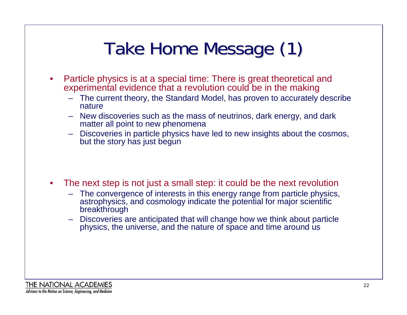# Take Home Message (1)

- $\bullet$  Particle physics is at a special time: There is great theoretical and experimental evidence that a revolution could be in the making
	- – The current theory, the Standard Model, has proven to accurately describe nature
	- New discoveries such as the mass of neutrinos, dark energy, and dark matter all point to new phenomena
	- Discoveries in particle physics have led to new insights about the cosmos, but the story has just begun
- • The next step is not just a small step: it could be the next revolution
	- The convergence of interests in this energy range from particle physics, astrophysics, and cosmology indicate the potential for major scientific breakthrough
	- Discoveries are anticipated that will change how we think about particle physics, the universe, and the nature of space and time around us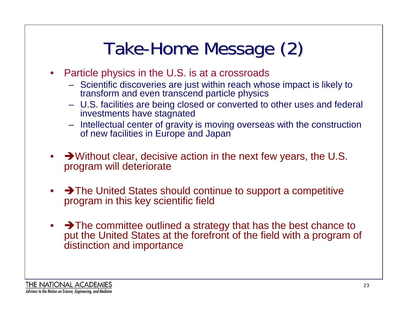# Take-Home Message (2)

- $\bullet$  Particle physics in the U.S. is at a crossroads
	- Scientific discoveries are just within reach whose impact is likely to transform and even transcend particle physics
	- U.S. facilities are being closed or converted to other uses and federal investments have stagnated
	- Intellectual center of gravity is moving overseas with the construction of new facilities in Europe and Japan
- $\rightarrow$  Without clear, decisive action in the next few years, the U.S. program will deteriorate
- • $\rightarrow$  The United States should continue to support a competitive program in this key scientific field
- $\rightarrow$  The committee outlined a strategy that has the best chance to put the United States at the forefront of the field with a program of distinction and importance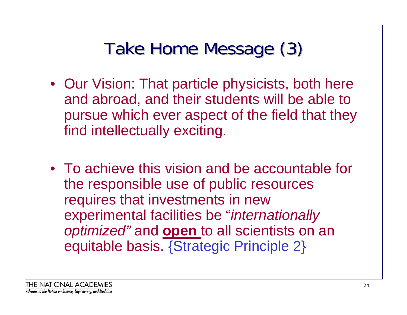# Take Home Message (3)

- Our Vision: That particle physicists, both here and abroad, and their students will be able to pursue which ever aspect of the field that they find intellectually exciting.
- To achieve this vision and be accountable for the responsible use of public resources requires that investments in new experimental facilities be "*internationally optimized"* and **open** to all scientists on an equitable basis. {Strategic Principle 2}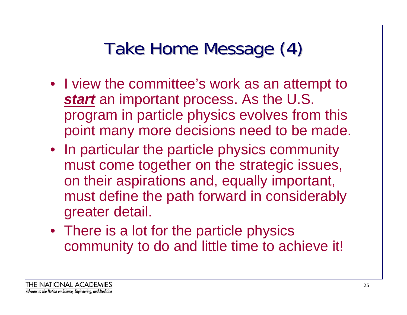# Take Home Message (4)

- I view the committee's work as an attempt to *start* an important process. As the U.S. program in particle physics evolves from this point many more decisions need to be made.
- In particular the particle physics community must come together on the strategic issues, on their aspirations and, equally important, must define the path forward in considerably greater detail.
- There is a lot for the particle physics community to do and little time to achieve it!